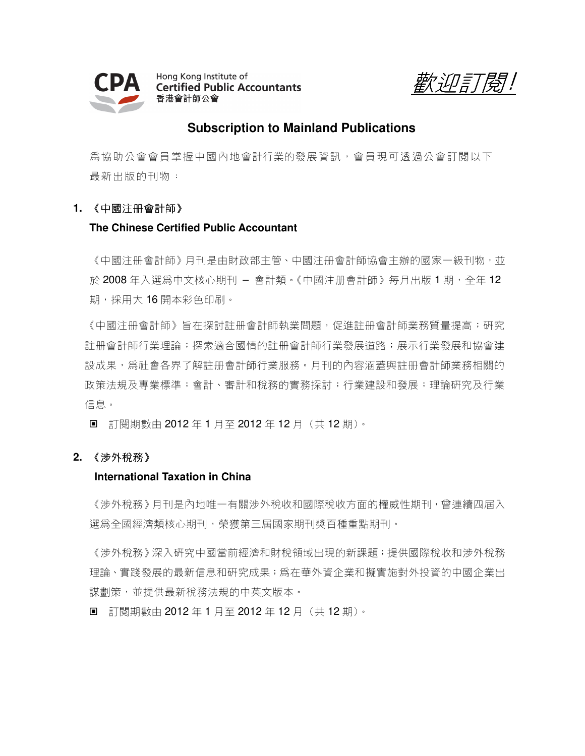

Hong Kong Institute of **Certified Public Accountants** 香港會計師公會

*歡迎訂閱!* 

# **Subscription to Mainland Publications**

為協助公會會員掌握中國內地會計行業的發展資訊,會員現可透過公會訂閱以下 最新出版的刊物:

# **1.** 《中國注冊會計師》

## **The Chinese Certified Public Accountant**

《中國注冊會計師》月刊是由財政部主管、中國注冊會計師協會主辦的國家一級刊物,並 於 2008 年入選為中文核心期刊 – 會計類。《中國注册會計師》每月出版 1 期,全年 12 期,採用大16開本彩色印刷。

《中國注册會計師、旨在探討註册會計師執業問題,促進註册會計師業務質量提高;研究 註册會計師行業理論;探索適合國情的註册會計師行業發展道路;展示行業發展和協會建 設成果,爲社會各界了解註冊會計師行業服務。月刊的內容涵蓋與註冊會計師業務相關的 政策法規及專業標準;會計、審計和稅務的實務探討;行業建設和發展;理論研究及行業 信息。

■ 訂閱期數由 2012 年 1 月至 2012 年 12 月 (共 12 期)。

### **2.** 《涉外稅務》

### **International Taxation in China**

《涉外稅務》月刊是內地唯一有關涉外稅收和國際稅收方面的權威性期刊,曾連續四屆入 選為全國經濟類核心期刊,榮獲第三屆國家期刊獎百種重點期刊。

《涉外稅務》深入研究中國當前經濟和財稅領域出現的新課題;提供國際稅收和涉外稅務 理論、實踐發展的最新信息和研究成果;爲在華外資企業和擬實施對外投資的中國企業出 謀劃策,並提供最新稅務法規的中英文版本。

■ 訂閱期數由 2012 年 1 月至 2012 年 12 月 (共 12 期)。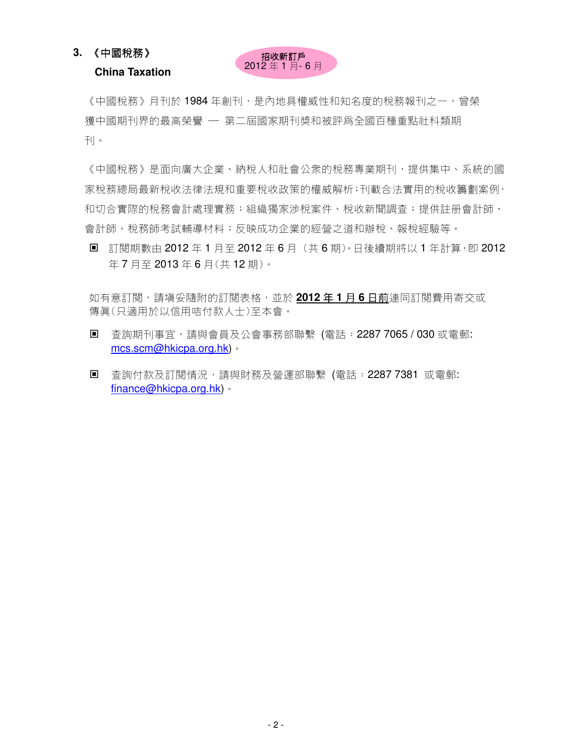**China Taxation** 

### 招收新訂戶 2012 年 1 月- 6 月

《中國稅務》月刊於 1984 年創刊,是內地具權威性和知名度的稅務報刊之一,曾榮 獲中國期刊界的最高榮譽 — 第二屆國家期刊獎和被評為全國百種重點社科類期 刊。

《中國稅務》是面向廣大企業、納稅人和社會公衆的稅務專業期刊,提供集中、系統的國 家稅務總局最新稅收法律法規和重要稅收政策的權威解析;刊載合法實用的稅收籌劃案例, 和切合實際的稅務會計處理實務;組織獨家涉稅案件、稅收新聞調查;提供註册會計師、 會計師、稅務師考試輔導材料;反映成功企業的經營之道和辦稅、報稅經驗等。

■ 訂閱期數由 2012 年 1 月至 2012 年 6 月 (共 6 期)。日後續期將以 1 年計算,卽 2012 年 7 月至 2013 年 6 月(共 12 期)。

如有意訂閱,請填妥隨附的訂閱表格,並於 **2012** 年 **1** 月 **6** 日前連同訂閱費用寄交或 傳真(只適用於以信用咭付款人士)至本會。

- 查詢期刊事宜,請與會員及公會事務部聯繫 (電話:2287 7065 / 030 或電郵: mcs.scm@hkicpa.org.hk)。
- 杳詢付款及訂閱情況,請與財務及營運部聯繫 (電話: 2287 7381 或電郵: finance@hkicpa.org.hk)。